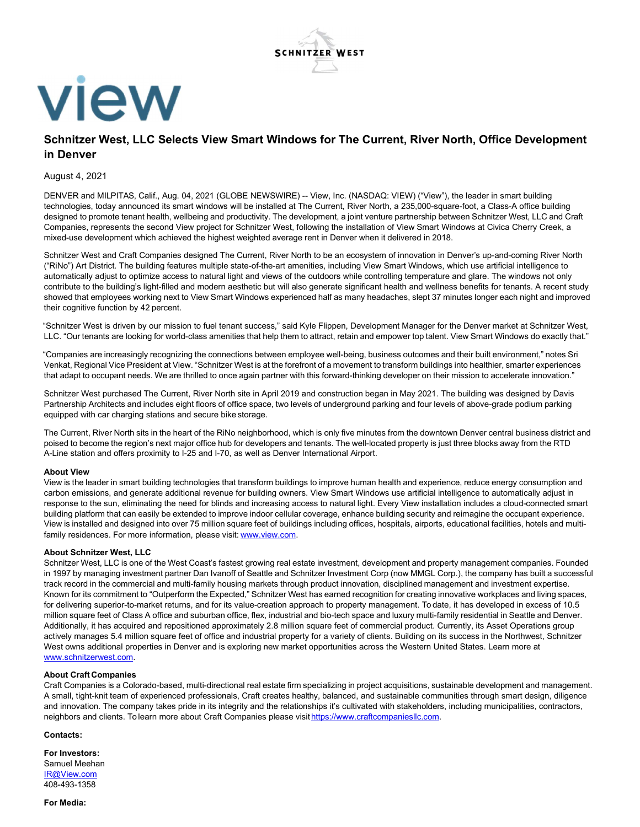

# **View**

# Schnitzer West, LLC Selects View Smart Windows for The Current, River North, Office Development in Denver

## August 4, 2021

DENVER and MILPITAS, Calif., Aug. 04, 2021 (GLOBE NEWSWIRE) -- View, Inc. (NASDAQ: VIEW) ("View"), the leader in smart building technologies, today announced its smart windows will be installed at The Current, River North, a 235,000-square-foot, a Class-A office building designed to promote tenant health, wellbeing and productivity. The development, a joint venture partnership between Schnitzer West, LLC and Craft Companies, represents the second View project for Schnitzer West, following the installation of View Smart Windows at Civica Cherry Creek, a mixed-use development which achieved the highest weighted average rent in Denver when it delivered in 2018.

Schnitzer West and Craft Companies designed The Current, River North to be an ecosystem of innovation in Denver's up-and-coming River North ("RiNo") Art District. The building features multiple state-of-the-art amenities, including View Smart Windows, which use artificial intelligence to automatically adjust to optimize access to natural light and views of the outdoors while controlling temperature and glare. The windows not only contribute to the building's light-filled and modern aesthetic but will also generate significant health and wellness benefits for tenants. A recent study showed that employees working next to View Smart Windows experienced half as many headaches, slept 37 minutes longer each night and improved their cognitive function by 42 percent.

"Schnitzer West is driven by our mission to fuel tenant success," said Kyle Flippen, Development Manager for the Denver market at Schnitzer West, LLC. "Our tenants are looking for world-class amenities that help them to attract, retain and empower top talent. View Smart Windows do exactly that."

"Companies are increasingly recognizing the connections between employee well-being, business outcomes and their built environment," notes Sri Venkat, Regional Vice President at View. "Schnitzer West is at the forefront of a movement to transform buildings into healthier, smarter experiences that adapt to occupant needs. We are thrilled to once again partner with this forward-thinking developer on their mission to accelerate innovation."

Schnitzer West purchased The Current, River North site in April 2019 and construction began in May 2021. The building was designed by Davis Partnership Architects and includes eight floors of office space, two levels of underground parking and four levels of above-grade podium parking equipped with car charging stations and secure bike storage.

The Current, River North sits in the heart of the RiNo neighborhood, which is only five minutes from the downtown Denver central business district and poised to become the region's next major office hub for developers and tenants. The well-located property is just three blocks away from the RTD A-Line station and offers proximity to I-25 and I-70, as well as Denver International Airport.

### About View

View is the leader in smart building technologies that transform buildings to improve human health and experience, reduce energy consumption and carbon emissions, and generate additional revenue for building owners. View Smart Windows use artificial intelligence to automatically adjust in response to the sun, eliminating the need for blinds and increasing access to natural light. Every View installation includes a cloud-connected smart building platform that can easily be extended to improve indoor cellular coverage, enhance building security and reimagine the occupant experience. View is installed and designed into over 75 million square feet of buildings including offices, hospitals, airports, educational facilities, hotels and multifamily residences. For more information, please visit: www.view.com.

### About Schnitzer West, LLC

Schnitzer West, LLC is one of the West Coast's fastest growing real estate investment, development and property management companies. Founded in 1997 by managing investment partner Dan Ivanoff of Seattle and Schnitzer Investment Corp (now MMGL Corp.), the company has built a successful track record in the commercial and multi-family housing markets through product innovation, disciplined management and investment expertise. Known for its commitment to "Outperform the Expected," Schnitzer West has earned recognition for creating innovative workplaces and living spaces, for delivering superior-to-market returns, and for its value-creation approach to property management. To date, it has developed in excess of 10.5 million square feet of Class A office and suburban office, flex, industrial and bio-tech space and luxury multi-family residential in Seattle and Denver. Additionally, it has acquired and repositioned approximately 2.8 million square feet of commercial product. Currently, its Asset Operations group actively manages 5.4 million square feet of office and industrial property for a variety of clients. Building on its success in the Northwest, Schnitzer West owns additional properties in Denver and is exploring new market opportunities across the Western United States. Learn more at www.schnitzerwest.com.

### About Craft Companies

Craft Companies is a Colorado-based, multi-directional real estate firm specializing in project acquisitions, sustainable development and management. A small, tight-knit team of experienced professionals, Craft creates healthy, balanced, and sustainable communities through smart design, diligence and innovation. The company takes pride in its integrity and the relationships it's cultivated with stakeholders, including municipalities, contractors, neighbors and clients. To learn more about Craft Companies please visit https://www.craftcompaniesllc.com.

Contacts:

For Investors: Samuel Meehan IR@View.com 408-493-1358

For Media: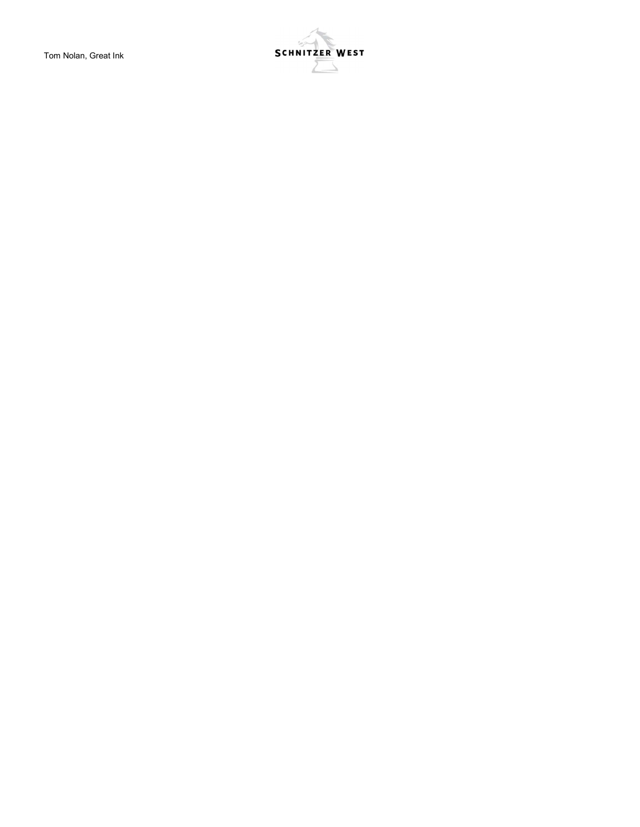Tom Nolan, Great Ink